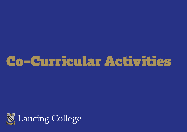## Co–Curricular Activities